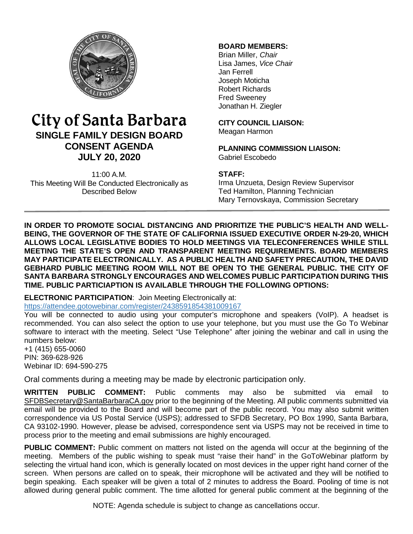

# City of Santa Barbara **SINGLE FAMILY DESIGN BOARD CONSENT AGENDA JULY 20, 2020**

11:00 A.M. This Meeting Will Be Conducted Electronically as Described Below

## **BOARD MEMBERS:**

Brian Miller, *Chair* Lisa James, *Vice Chair* Jan Ferrell Joseph Moticha Robert Richards Fred Sweeney Jonathan H. Ziegler

**CITY COUNCIL LIAISON:** Meagan Harmon

**PLANNING COMMISSION LIAISON:** Gabriel Escobedo

### **STAFF:**

Irma Unzueta, Design Review Supervisor Ted Hamilton, Planning Technician Mary Ternovskaya, Commission Secretary

**IN ORDER TO PROMOTE SOCIAL DISTANCING AND PRIORITIZE THE PUBLIC'S HEALTH AND WELL-BEING, THE GOVERNOR OF THE STATE OF CALIFORNIA ISSUED EXECUTIVE ORDER N-29-20, WHICH ALLOWS LOCAL LEGISLATIVE BODIES TO HOLD MEETINGS VIA TELECONFERENCES WHILE STILL MEETING THE STATE'S OPEN AND TRANSPARENT MEETING REQUIREMENTS. BOARD MEMBERS MAY PARTICIPATE ELECTRONICALLY. AS A PUBLIC HEALTH AND SAFETY PRECAUTION, THE DAVID GEBHARD PUBLIC MEETING ROOM WILL NOT BE OPEN TO THE GENERAL PUBLIC. THE CITY OF SANTA BARBARA STRONGLY ENCOURAGES AND WELCOMES PUBLIC PARTICIPATION DURING THIS TIME. PUBLIC PARTICIAPTION IS AVAILABLE THROUGH THE FOLLOWING OPTIONS:**

#### **ELECTRONIC PARTICIPATION**: Join Meeting Electronically at:

<https://attendee.gotowebinar.com/register/2438591854381009167>

You will be connected to audio using your computer's microphone and speakers (VoIP). A headset is recommended. You can also select the option to use your telephone, but you must use the Go To Webinar software to interact with the meeting. Select "Use Telephone" after joining the webinar and call in using the numbers below:

+1 (415) 655-0060 PIN: 369-628-926 Webinar ID: 694-590-275

Oral comments during a meeting may be made by electronic participation only.

**WRITTEN PUBLIC COMMENT:** Public comments may also be submitted via email to [SFDBSecretary@SantaBarbaraCA.gov](mailto:SFDBSecretary@SantaBarbaraCA.gov) prior to the beginning of the Meeting. All public comments submitted via email will be provided to the Board and will become part of the public record. You may also submit written correspondence via US Postal Service (USPS); addressed to SFDB Secretary, PO Box 1990, Santa Barbara, CA 93102-1990. However, please be advised, correspondence sent via USPS may not be received in time to process prior to the meeting and email submissions are highly encouraged.

**PUBLIC COMMENT:** Public comment on matters not listed on the agenda will occur at the beginning of the meeting. Members of the public wishing to speak must "raise their hand" in the GoToWebinar platform by selecting the virtual hand icon, which is generally located on most devices in the upper right hand corner of the screen. When persons are called on to speak, their microphone will be activated and they will be notified to begin speaking. Each speaker will be given a total of 2 minutes to address the Board. Pooling of time is not allowed during general public comment. The time allotted for general public comment at the beginning of the

NOTE: Agenda schedule is subject to change as cancellations occur.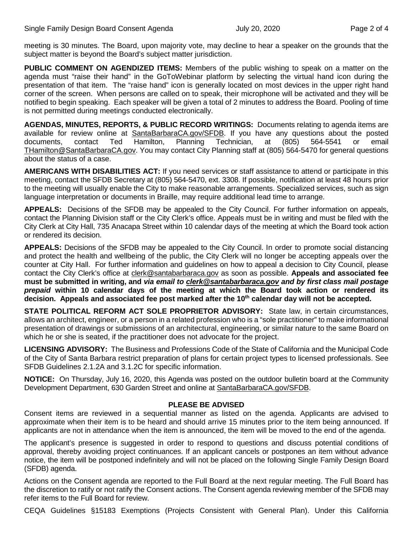meeting is 30 minutes. The Board, upon majority vote, may decline to hear a speaker on the grounds that the subject matter is beyond the Board's subject matter jurisdiction.

**PUBLIC COMMENT ON AGENDIZED ITEMS:** Members of the public wishing to speak on a matter on the agenda must "raise their hand" in the GoToWebinar platform by selecting the virtual hand icon during the presentation of that item. The "raise hand" icon is generally located on most devices in the upper right hand corner of the screen. When persons are called on to speak, their microphone will be activated and they will be notified to begin speaking. Each speaker will be given a total of 2 minutes to address the Board. Pooling of time is not permitted during meetings conducted electronically.

**AGENDAS, MINUTES, REPORTS, & PUBLIC RECORD WRITINGS:** Documents relating to agenda items are available for review online at [SantaBarbaraCA.gov/SFDB.](http://www.santabarbaraca.gov/ABR) If you have any questions about the posted documents, contact Ted Hamilton, Planning Technician, at (805) 564-5541 or email [THamilton@SantaBarbaraCA.gov.](mailto:THamilton@SantaBarbaraCA.gov) You may contact City Planning staff at (805) 564-5470 for general questions about the status of a case.

**AMERICANS WITH DISABILITIES ACT:** If you need services or staff assistance to attend or participate in this meeting, contact the SFDB Secretary at (805) 564-5470, ext. 3308. If possible, notification at least 48 hours prior to the meeting will usually enable the City to make reasonable arrangements. Specialized services, such as sign language interpretation or documents in Braille, may require additional lead time to arrange.

**APPEALS:** Decisions of the SFDB may be appealed to the City Council. For further information on appeals, contact the Planning Division staff or the City Clerk's office. Appeals must be in writing and must be filed with the City Clerk at City Hall, 735 Anacapa Street within 10 calendar days of the meeting at which the Board took action or rendered its decision.

**APPEALS:** Decisions of the SFDB may be appealed to the City Council. In order to promote social distancing and protect the health and wellbeing of the public, the City Clerk will no longer be accepting appeals over the counter at City Hall. For further information and guidelines on how to appeal a decision to City Council, please contact the City Clerk's office at [clerk@santabarbaraca.gov](mailto:clerk@santabarbaraca.gov) as soon as possible. **Appeals and associated fee must be submitted in writing, and** *via email to [clerk@santabarbaraca.gov](mailto:clerk@santabarbaraca.gov) and by first class mail postage prepaid* **within 10 calendar days of the meeting at which the Board took action or rendered its**  decision. Appeals and associated fee post marked after the 10<sup>th</sup> calendar day will not be accepted.

**STATE POLITICAL REFORM ACT SOLE PROPRIETOR ADVISORY:** State law, in certain circumstances, allows an architect, engineer, or a person in a related profession who is a "sole practitioner" to make informational presentation of drawings or submissions of an architectural, engineering, or similar nature to the same Board on which he or she is seated, if the practitioner does not advocate for the project.

**LICENSING ADVISORY:** The Business and Professions Code of the State of California and the Municipal Code of the City of Santa Barbara restrict preparation of plans for certain project types to licensed professionals. See SFDB Guidelines 2.1.2A and 3.1.2C for specific information.

**NOTICE:** On Thursday, July 16, 2020, this Agenda was posted on the outdoor bulletin board at the Community Development Department, 630 Garden Street and online at [SantaBarbaraCA.gov/SFDB.](http://www.santabarbaraca.gov/gov/brdcomm/nz/sfdb/agendas.asp)

## **PLEASE BE ADVISED**

Consent items are reviewed in a sequential manner as listed on the agenda. Applicants are advised to approximate when their item is to be heard and should arrive 15 minutes prior to the item being announced. If applicants are not in attendance when the item is announced, the item will be moved to the end of the agenda.

The applicant's presence is suggested in order to respond to questions and discuss potential conditions of approval, thereby avoiding project continuances. If an applicant cancels or postpones an item without advance notice, the item will be postponed indefinitely and will not be placed on the following Single Family Design Board (SFDB) agenda.

Actions on the Consent agenda are reported to the Full Board at the next regular meeting. The Full Board has the discretion to ratify or not ratify the Consent actions. The Consent agenda reviewing member of the SFDB may refer items to the Full Board for review.

CEQA Guidelines §15183 Exemptions (Projects Consistent with General Plan). Under this California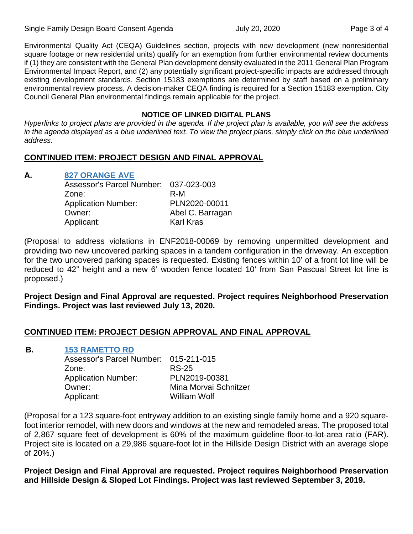Environmental Quality Act (CEQA) Guidelines section, projects with new development (new nonresidential square footage or new residential units) qualify for an exemption from further environmental review documents if (1) they are consistent with the General Plan development density evaluated in the 2011 General Plan Program Environmental Impact Report, and (2) any potentially significant project-specific impacts are addressed through existing development standards. Section 15183 exemptions are determined by staff based on a preliminary environmental review process. A decision-maker CEQA finding is required for a Section 15183 exemption. City Council General Plan environmental findings remain applicable for the project.

#### **NOTICE OF LINKED DIGITAL PLANS**

*Hyperlinks to project plans are provided in the agenda. If the project plan is available, you will see the address in the agenda displayed as a blue underlined text. To view the project plans, simply click on the blue underlined address.*

# **CONTINUED ITEM: PROJECT DESIGN AND FINAL APPROVAL**

# **A. [827 ORANGE AVE](https://www.santabarbaraca.gov/SBdocuments/Advisory_Groups/Single_Family_Design_Board/Archive/2020_Archives/03_Architectural_Drawings/2020-07-20_July_20_2020_827_Orange_Ave.pdf)**

| Assessor's Parcel Number: 037-023-003 |                  |
|---------------------------------------|------------------|
| Zone:                                 | R-M              |
| <b>Application Number:</b>            | PLN2020-00011    |
| Owner:                                | Abel C. Barragan |
| Applicant:                            | <b>Karl Kras</b> |

(Proposal to address violations in ENF2018-00069 by removing unpermitted development and providing two new uncovered parking spaces in a tandem configuration in the driveway. An exception for the two uncovered parking spaces is requested. Existing fences within 10' of a front lot line will be reduced to 42" height and a new 6' wooden fence located 10' from San Pascual Street lot line is proposed.)

**Project Design and Final Approval are requested. Project requires Neighborhood Preservation Findings. Project was last reviewed July 13, 2020.**

## **CONTINUED ITEM: PROJECT DESIGN APPROVAL AND FINAL APPROVAL**

**B. [153 RAMETTO RD](https://www.santabarbaraca.gov/SBdocuments/Advisory_Groups/Single_Family_Design_Board/Archive/2020_Archives/03_Architectural_Drawings/2020-07-20_July_20_2020_153_Rametto.pdf)**

| Assessor's Parcel Number: 015-211-015 |                       |
|---------------------------------------|-----------------------|
| Zone:                                 | <b>RS-25</b>          |
| <b>Application Number:</b>            | PLN2019-00381         |
| Owner:                                | Mina Morvai Schnitzer |
| Applicant:                            | <b>William Wolf</b>   |
|                                       |                       |

(Proposal for a 123 square-foot entryway addition to an existing single family home and a 920 squarefoot interior remodel, with new doors and windows at the new and remodeled areas. The proposed total of 2,867 square feet of development is 60% of the maximum guideline floor-to-lot-area ratio (FAR). Project site is located on a 29,986 square-foot lot in the Hillside Design District with an average slope of 20%.)

**Project Design and Final Approval are requested. Project requires Neighborhood Preservation and Hillside Design & Sloped Lot Findings. Project was last reviewed September 3, 2019.**